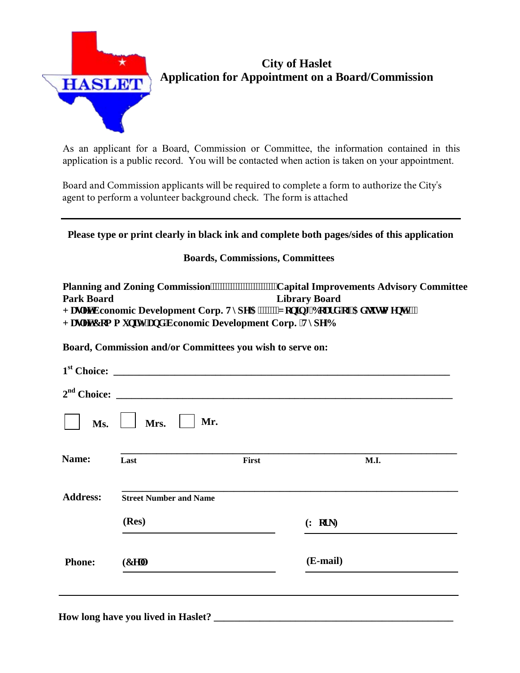

## **City of Haslet Application for Appointment on a Board/Commission**

As an applicant for a Board, Commission or Committee, the information contained in this application is a public record. You will be contacted when action is taken on your appointment.

Board and Commission applicants will be required to complete a form to authorize the City's agent to perform a volunteer background check. The form is attached

### **Please type or print clearly in black ink and complete both pages/sides of this application**

#### **Boards, Commissions, Committees**

**Planning and Zoning Commission**<sup>11111111111111111111111</sup>2apital Improvements Advisory Committee **Park Board Library Board J** curvEconomic Development Corp. V{rg'C''''''" qplpi 'Dqctf 'qh'Cf lwwo gpv''''' **J** curvEqo o wpls<sup>{</sup> 'cpf 'Economic Development Corp. 'V{ rg'D

**Board, Commission and/or Committees you wish to serve on:** 

|                 | 2 <sup>nd</sup> Choice:       |       |          |  |
|-----------------|-------------------------------|-------|----------|--|
| Ms.             | Mr.<br>Mrs.                   |       |          |  |
| Name:           | Last                          | First | M.I.     |  |
| <b>Address:</b> | <b>Street Number and Name</b> |       |          |  |
|                 | (Res)                         |       | (Y qtm)  |  |
| <b>Phone:</b>   | $(Egm+$                       |       | (E-mail) |  |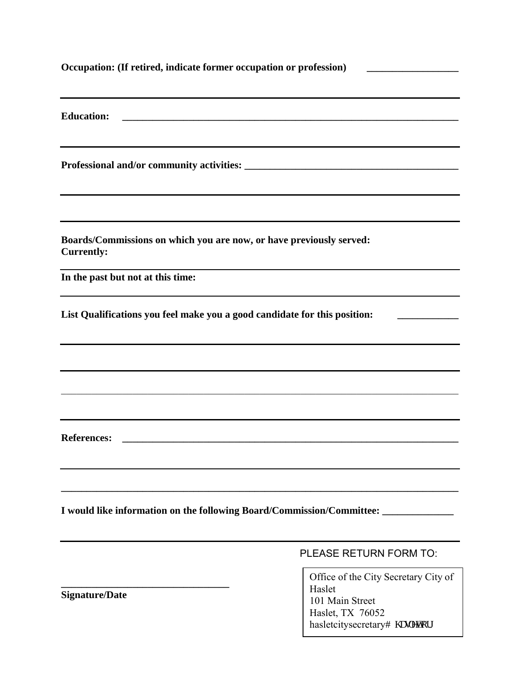| Occupation: (If retired, indicate former occupation or profession)<br><u> 1989 - Jan Barbara Barbara, prima popular popular popular popular popular popular popular popular popular po</u> |                                                       |  |  |  |
|--------------------------------------------------------------------------------------------------------------------------------------------------------------------------------------------|-------------------------------------------------------|--|--|--|
| <b>Education:</b><br><u> 1989 - Jan James James James James James James James James James James James James James James James James J</u>                                                  |                                                       |  |  |  |
|                                                                                                                                                                                            |                                                       |  |  |  |
| Boards/Commissions on which you are now, or have previously served:<br><b>Currently:</b>                                                                                                   |                                                       |  |  |  |
| In the past but not at this time:                                                                                                                                                          |                                                       |  |  |  |
| List Qualifications you feel make you a good candidate for this position:                                                                                                                  |                                                       |  |  |  |
|                                                                                                                                                                                            |                                                       |  |  |  |
|                                                                                                                                                                                            |                                                       |  |  |  |
| <b>References:</b>                                                                                                                                                                         |                                                       |  |  |  |
|                                                                                                                                                                                            |                                                       |  |  |  |
| I would like information on the following Board/Commission/Committee: __________                                                                                                           |                                                       |  |  |  |
|                                                                                                                                                                                            | PLEASE RETURN FORM TO:                                |  |  |  |
|                                                                                                                                                                                            | Office of the City Secretary City of<br>$II = -1 - 4$ |  |  |  |

**Signature/Date**

Haslet, TX 76052 hasletcitysecretaryB j curgsQuri

Haslet

101 Main Street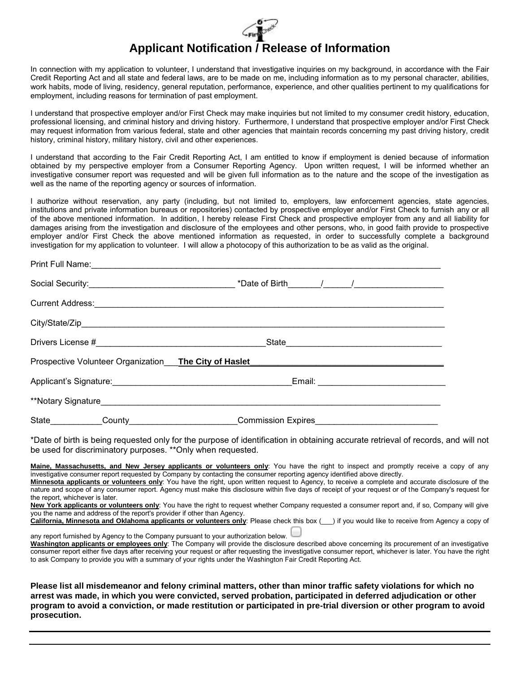# **Applicant Notification / Release of Information**

In connection with my application to volunteer, I understand that investigative inquiries on my background, in accordance with the Fair Credit Reporting Act and all state and federal laws, are to be made on me, including information as to my personal character, abilities, work habits, mode of living, residency, general reputation, performance, experience, and other qualities pertinent to my qualifications for employment, including reasons for termination of past employment.

I understand that prospective employer and/or First Check may make inquiries but not limited to my consumer credit history, education, professional licensing, and criminal history and driving history. Furthermore, I understand that prospective employer and/or First Check may request information from various federal, state and other agencies that maintain records concerning my past driving history, credit history, criminal history, military history, civil and other experiences.

I understand that according to the Fair Credit Reporting Act, I am entitled to know if employment is denied because of information obtained by my perspective employer from a Consumer Reporting Agency. Upon written request, I will be informed whether an investigative consumer report was requested and will be given full information as to the nature and the scope of the investigation as well as the name of the reporting agency or sources of information.

I authorize without reservation, any party (including, but not limited to, employers, law enforcement agencies, state agencies, institutions and private information bureaus or repositories) contacted by prospective employer and/or First Check to furnish any or all of the above mentioned information. In addition, I hereby release First Check and prospective employer from any and all liability for damages arising from the investigation and disclosure of the employees and other persons, who, in good faith provide to prospective employer and/or First Check the above mentioned information as requested, in order to successfully complete a background investigation for my application to volunteer. I will allow a photocopy of this authorization to be as valid as the original.

|  |  | Commission Expires |  |
|--|--|--------------------|--|

\*Date of birth is being requested only for the purpose of identification in obtaining accurate retrieval of records, and will not be used for discriminatory purposes. \*\*Only when requested.

Maine. Massachusetts, and New Jersey applicants or volunteers only: You have the right to inspect and promptly receive a copy of any investigative consumer report requested by Company by contacting the consumer reporting agency identified above directly.

**Minnesota applicants or volunteers only**: You have the right, upon written request to Agency, to receive a complete and accurate disclosure of the nature and scope of any consumer report. Agency must make this disclosure within five days of receipt of your request or of the Company's request for the report, whichever is later.

**New York applicants or volunteers only**: You have the right to request whether Company requested a consumer report and, if so, Company will give you the name and address of the report's provider if other than Agency.

**California, Minnesota and Oklahoma applicants or volunteers only**: Please check this box (\_\_\_) if you would like to receive from Agency a copy of

any report furnished by Agency to the Company pursuant to your authorization below.

**Washington applicants or employees only**: The Company will provide the disclosure described above concerning its procurement of an investigative consumer report either five days after receiving your request or after requesting the investigative consumer report, whichever is later. You have the right to ask Company to provide you with a summary of your rights under the Washington Fair Credit Reporting Act.

**Please list all misdemeanor and felony criminal matters, other than minor traffic safety violations for which no arrest was made, in which you were convicted, served probation, participated in deferred adjudication or other program to avoid a conviction, or made restitution or participated in pre-trial diversion or other program to avoid prosecution.**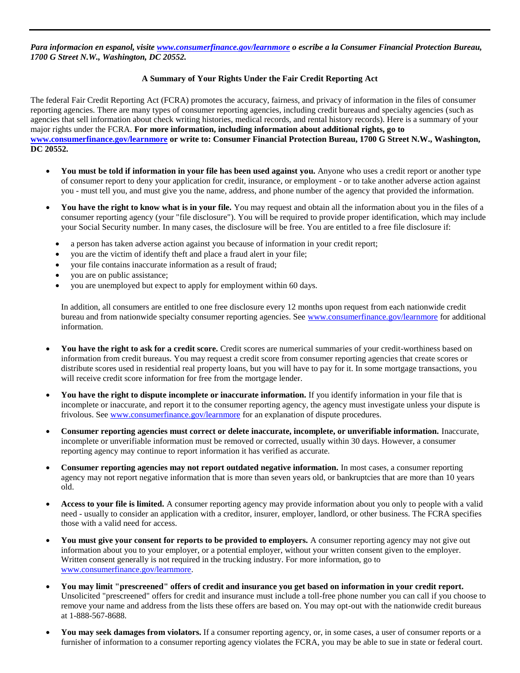*Para informacion en espanol, visite [www.consumerfinance.gov/learnmore](http://www.consumerfinance.gov/learnmore) o escribe a la Consumer Financial Protection Bureau, 1700 G Street N.W., Washington, DC 20552.* 

#### **A Summary of Your Rights Under the Fair Credit Reporting Act**

The federal Fair Credit Reporting Act (FCRA) promotes the accuracy, fairness, and privacy of information in the files of consumer reporting agencies. There are many types of consumer reporting agencies, including credit bureaus and specialty agencies (such as agencies that sell information about check writing histories, medical records, and rental history records). Here is a summary of your major rights under the FCRA. **For more information, including information about additional rights, go to [www.consumerfinance.gov/learnmore](http://www.consumerfinance.gov/learnmore) or write to: Consumer Financial Protection Bureau, 1700 G Street N.W., Washington, DC 20552.**

- **You must be told if information in your file has been used against you.** Anyone who uses a credit report or another type of consumer report to deny your application for credit, insurance, or employment - or to take another adverse action against you - must tell you, and must give you the name, address, and phone number of the agency that provided the information.
- **You have the right to know what is in your file.** You may request and obtain all the information about you in the files of a consumer reporting agency (your "file disclosure"). You will be required to provide proper identification, which may include your Social Security number. In many cases, the disclosure will be free. You are entitled to a free file disclosure if:
	- a person has taken adverse action against you because of information in your credit report;
	- you are the victim of identify theft and place a fraud alert in your file;
	- your file contains inaccurate information as a result of fraud;
	- you are on public assistance;
	- you are unemployed but expect to apply for employment within 60 days.

In addition, all consumers are entitled to one free disclosure every 12 months upon request from each nationwide credit bureau and from nationwide specialty consumer reporting agencies. See [www.consumerfinance.gov/learnmore](http://www.consumerfinance.gov/learnmore) for additional information.

- **You have the right to ask for a credit score.** Credit scores are numerical summaries of your credit-worthiness based on information from credit bureaus. You may request a credit score from consumer reporting agencies that create scores or distribute scores used in residential real property loans, but you will have to pay for it. In some mortgage transactions, you will receive credit score information for free from the mortgage lender.
- **You have the right to dispute incomplete or inaccurate information.** If you identify information in your file that is incomplete or inaccurate, and report it to the consumer reporting agency, the agency must investigate unless your dispute is frivolous. See [www.consumerfinance.gov/learnmore](http://www.consumerfinance.gov/learnmore) for an explanation of dispute procedures.
- **Consumer reporting agencies must correct or delete inaccurate, incomplete, or unverifiable information.** Inaccurate, incomplete or unverifiable information must be removed or corrected, usually within 30 days. However, a consumer reporting agency may continue to report information it has verified as accurate.
- **Consumer reporting agencies may not report outdated negative information.** In most cases, a consumer reporting agency may not report negative information that is more than seven years old, or bankruptcies that are more than 10 years old.
- **Access to your file is limited.** A consumer reporting agency may provide information about you only to people with a valid need - usually to consider an application with a creditor, insurer, employer, landlord, or other business. The FCRA specifies those with a valid need for access.
- **You must give your consent for reports to be provided to employers.** A consumer reporting agency may not give out information about you to your employer, or a potential employer, without your written consent given to the employer. Written consent generally is not required in the trucking industry. For more information, go to [www.consumerfinance.gov/learnmore.](http://www.consumerfinance.gov/learnmore)
- **You may limit "prescreened" offers of credit and insurance you get based on information in your credit report.** Unsolicited "prescreened" offers for credit and insurance must include a toll-free phone number you can call if you choose to remove your name and address from the lists these offers are based on. You may opt-out with the nationwide credit bureaus at 1-888-567-8688.
- **You may seek damages from violators.** If a consumer reporting agency, or, in some cases, a user of consumer reports or a furnisher of information to a consumer reporting agency violates the FCRA, you may be able to sue in state or federal court.